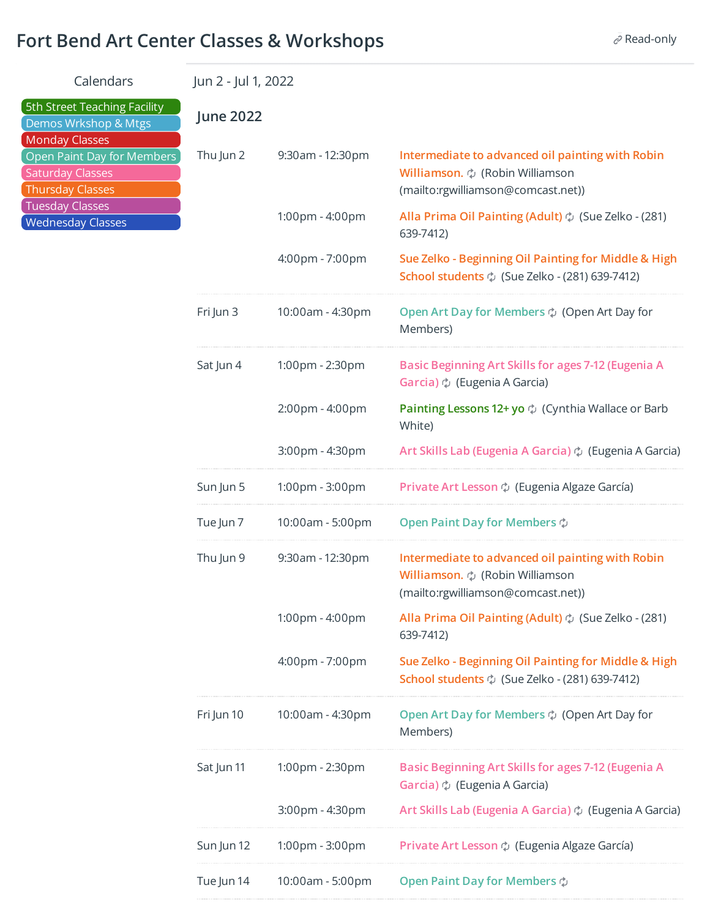## **Fort Bend Art Center Classes & Workshops**  $\mathscr{P}$  **Read-only**

| Calendars                                                                                                                                                                                                        |                  | Jun 2 - Jul 1, 2022 |                                                                                                                                       |  |  |  |
|------------------------------------------------------------------------------------------------------------------------------------------------------------------------------------------------------------------|------------------|---------------------|---------------------------------------------------------------------------------------------------------------------------------------|--|--|--|
| 5th Street Teaching Facility<br>Demos Wrkshop & Mtgs<br><b>Monday Classes</b><br>Open Paint Day for Members<br><b>Saturday Classes</b><br><b>Thursday Classes</b><br>Tuesday Classes<br><b>Wednesday Classes</b> | <b>June 2022</b> |                     |                                                                                                                                       |  |  |  |
|                                                                                                                                                                                                                  | Thu Jun 2        | 9:30am - 12:30pm    | Intermediate to advanced oil painting with Robin<br>Williamson. ¢ (Robin Williamson<br>(mailto:rgwilliamson@comcast.net))             |  |  |  |
|                                                                                                                                                                                                                  |                  | 1:00pm - 4:00pm     | Alla Prima Oil Painting (Adult) $\phi$ (Sue Zelko - (281)<br>639-7412)                                                                |  |  |  |
|                                                                                                                                                                                                                  |                  | 4:00pm - 7:00pm     | Sue Zelko - Beginning Oil Painting for Middle & High<br><b>School students</b> $\phi$ (Sue Zelko - (281) 639-7412)                    |  |  |  |
|                                                                                                                                                                                                                  | Fri Jun 3        | 10:00am - 4:30pm    | Open Art Day for Members $\phi$ (Open Art Day for<br>Members)                                                                         |  |  |  |
|                                                                                                                                                                                                                  | Sat Jun 4        | 1:00pm - 2:30pm     | Basic Beginning Art Skills for ages 7-12 (Eugenia A<br>Garcia) $\phi$ (Eugenia A Garcia)                                              |  |  |  |
|                                                                                                                                                                                                                  |                  | 2:00pm - 4:00pm     | <b>Painting Lessons 12+ yo</b> $\phi$ (Cynthia Wallace or Barb<br>White)                                                              |  |  |  |
|                                                                                                                                                                                                                  |                  | 3:00pm - 4:30pm     | Art Skills Lab (Eugenia A Garcia) $\phi$ (Eugenia A Garcia)                                                                           |  |  |  |
|                                                                                                                                                                                                                  | Sun Jun 5        | 1:00pm - 3:00pm     | Private Art Lesson $\phi$ (Eugenia Algaze García)                                                                                     |  |  |  |
|                                                                                                                                                                                                                  | Tue Jun 7        | 10:00am - 5:00pm    | Open Paint Day for Members $\phi$                                                                                                     |  |  |  |
|                                                                                                                                                                                                                  | Thu Jun 9        | 9:30am - 12:30pm    | Intermediate to advanced oil painting with Robin<br><b>Williamson.</b> $\phi$ (Robin Williamson<br>(mailto:rgwilliamson@comcast.net)) |  |  |  |
|                                                                                                                                                                                                                  |                  | 1:00pm - 4:00pm     | Alla Prima Oil Painting (Adult) $\phi$ (Sue Zelko - (281)<br>639-7412)                                                                |  |  |  |
|                                                                                                                                                                                                                  |                  | 4:00pm - 7:00pm     | Sue Zelko - Beginning Oil Painting for Middle & High<br><b>School students</b> $\phi$ (Sue Zelko - (281) 639-7412)                    |  |  |  |
|                                                                                                                                                                                                                  | Fri Jun 10       | 10:00am - 4:30pm    | Open Art Day for Members $\phi$ (Open Art Day for<br>Members)                                                                         |  |  |  |
|                                                                                                                                                                                                                  | Sat Jun 11       | 1:00pm - 2:30pm     | Basic Beginning Art Skills for ages 7-12 (Eugenia A<br>Garcia) $\phi$ (Eugenia A Garcia)                                              |  |  |  |
|                                                                                                                                                                                                                  |                  | 3:00pm - 4:30pm     | Art Skills Lab (Eugenia A Garcia) $\circ$ (Eugenia A Garcia)                                                                          |  |  |  |
|                                                                                                                                                                                                                  | Sun Jun 12       | 1:00pm - 3:00pm     | Private Art Lesson $\phi$ (Eugenia Algaze García)                                                                                     |  |  |  |
|                                                                                                                                                                                                                  | Tue Jun 14       | 10:00am - 5:00pm    | Open Paint Day for Members $\phi$                                                                                                     |  |  |  |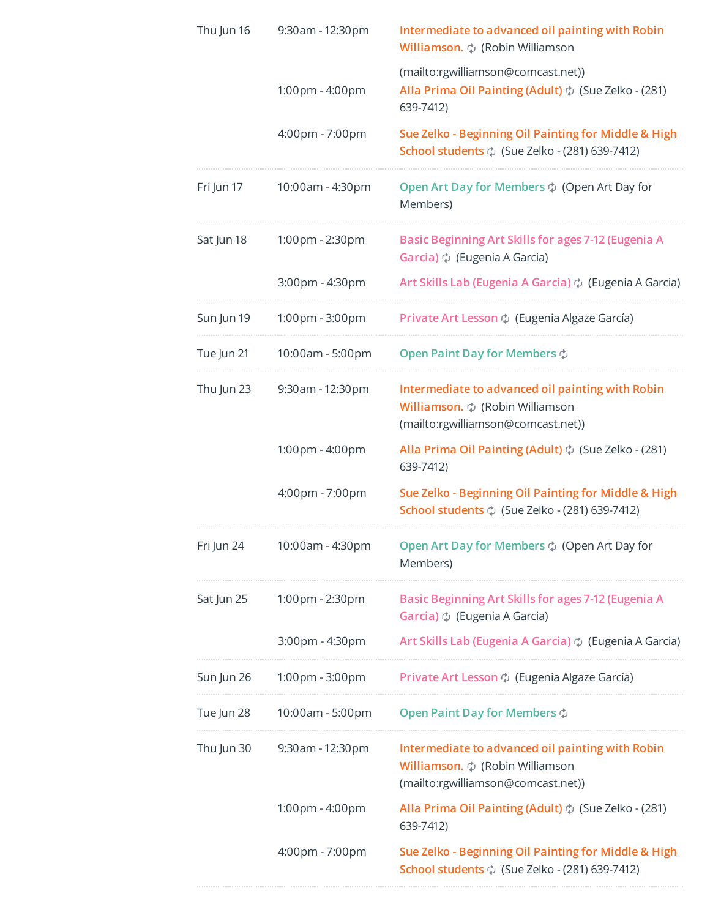| Thu Jun 16 | 9:30am - 12:30pm | Intermediate to advanced oil painting with Robin<br>Williamson. $\phi$ (Robin Williamson                                       |  |  |
|------------|------------------|--------------------------------------------------------------------------------------------------------------------------------|--|--|
|            | 1:00pm - 4:00pm  | (mailto:rgwilliamson@comcast.net))<br>Alla Prima Oil Painting (Adult) $\phi$ (Sue Zelko - (281)<br>639-7412)                   |  |  |
|            | 4:00pm - 7:00pm  | Sue Zelko - Beginning Oil Painting for Middle & High<br>School students $\phi$ (Sue Zelko - (281) 639-7412)                    |  |  |
| Fri Jun 17 | 10:00am - 4:30pm | Open Art Day for Members $\diamond$ (Open Art Day for<br>Members)                                                              |  |  |
| Sat Jun 18 | 1:00pm - 2:30pm  | Basic Beginning Art Skills for ages 7-12 (Eugenia A<br>Garcia) $\phi$ (Eugenia A Garcia)                                       |  |  |
|            | 3:00pm - 4:30pm  | Art Skills Lab (Eugenia A Garcia) $\phi$ (Eugenia A Garcia)                                                                    |  |  |
| Sun Jun 19 | 1:00pm - 3:00pm  | Private Art Lesson $\phi$ (Eugenia Algaze García)                                                                              |  |  |
| Tue Jun 21 | 10:00am - 5:00pm | Open Paint Day for Members $\phi$                                                                                              |  |  |
| Thu Jun 23 | 9:30am - 12:30pm | Intermediate to advanced oil painting with Robin<br>Williamson. $\phi$ (Robin Williamson<br>(mailto:rgwilliamson@comcast.net)) |  |  |
|            | 1:00pm - 4:00pm  | Alla Prima Oil Painting (Adult) $\phi$ (Sue Zelko - (281)<br>639-7412)                                                         |  |  |
|            | 4:00pm - 7:00pm  | Sue Zelko - Beginning Oil Painting for Middle & High<br><b>School students</b> $\phi$ (Sue Zelko - (281) 639-7412)             |  |  |
| Fri Jun 24 | 10:00am - 4:30pm | Open Art Day for Members $\diamondsuit$ (Open Art Day for<br>Members)                                                          |  |  |
| Sat Jun 25 | 1:00pm - 2:30pm  | Basic Beginning Art Skills for ages 7-12 (Eugenia A<br>Garcia) $\phi$ (Eugenia A Garcia)                                       |  |  |
|            | 3:00pm - 4:30pm  | Art Skills Lab (Eugenia A Garcia) $\phi$ (Eugenia A Garcia)                                                                    |  |  |
| Sun Jun 26 | 1:00pm - 3:00pm  | Private Art Lesson $\phi$ (Eugenia Algaze García)                                                                              |  |  |
| Tue Jun 28 | 10:00am - 5:00pm | Open Paint Day for Members $\phi$                                                                                              |  |  |
| Thu Jun 30 | 9:30am - 12:30pm | Intermediate to advanced oil painting with Robin<br>Williamson. $\phi$ (Robin Williamson<br>(mailto:rgwilliamson@comcast.net)) |  |  |
|            | 1:00pm - 4:00pm  | Alla Prima Oil Painting (Adult) $\phi$ (Sue Zelko - (281)<br>639-7412)                                                         |  |  |
|            | 4:00pm - 7:00pm  | Sue Zelko - Beginning Oil Painting for Middle & High<br><b>School students</b> $\phi$ (Sue Zelko - (281) 639-7412)             |  |  |